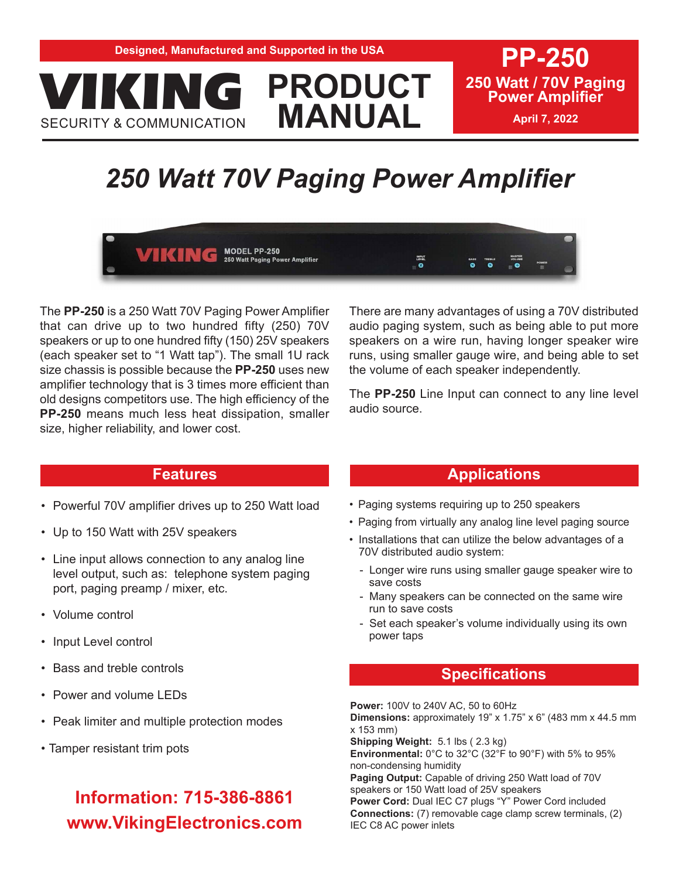**PP-250 250 Watt / 70V Paging Power Amplifier**

**April 7, 2022**

# *250 Watt 70V Paging Power Amplifier*

**PRODUCT**

**MANUAL**

**MODEL PP-250**<br>250 Watt Paging Power Amplifier VIKING

e de la Caracción<br>Co

The **PP-250** is a 250 Watt 70V Paging Power Amplifier that can drive up to two hundred fifty (250) 70V speakers or up to one hundred fifty (150) 25V speakers (each speaker set to "1 Watt tap"). The small 1U rack size chassis is possible because the **PP-250** uses new amplifier technology that is 3 times more efficient than old designs competitors use. The high efficiency of the **PP-250** means much less heat dissipation, smaller size, higher reliability, and lower cost.

There are many advantages of using a 70V distributed audio paging system, such as being able to put more speakers on a wire run, having longer speaker wire runs, using smaller gauge wire, and being able to set the volume of each speaker independently.

The **PP-250** Line Input can connect to any line level audio source.

#### **Features**

- Powerful 70V amplifier drives up to 250 Watt load
- Up to 150 Watt with 25V speakers

VIKING

SECURITY & COMMUNICATION

- Line input allows connection to any analog line level output, such as: telephone system paging port, paging preamp / mixer, etc.
- Volume control
- Input Level control
- Bass and treble controls
- Power and volume LEDs
- Peak limiter and multiple protection modes
- Tamper resistant trim pots

## **Information: 715-386-8861 www.VikingElectronics.com**

#### **Applications**

- Paging systems requiring up to 250 speakers
- Paging from virtually any analog line level paging source
- Installations that can utilize the below advantages of a 70V distributed audio system:
	- Longer wire runs using smaller gauge speaker wire to save costs
	- Many speakers can be connected on the same wire run to save costs
	- Set each speaker's volume individually using its own power taps

#### **Specifications**

**Power:** 100V to 240V AC, 50 to 60Hz **Dimensions:** approximately 19" x 1.75" x 6" (483 mm x 44.5 mm x 153 mm) **Shipping Weight:** 5.1 lbs ( 2.3 kg) **Environmental:** 0°C to 32°C (32°F to 90°F) with 5% to 95% non-condensing humidity **Paging Output:** Capable of driving 250 Watt load of 70V speakers or 150 Watt load of 25V speakers **Power Cord:** Dual IEC C7 plugs "Y" Power Cord included **Connections:** (7) removable cage clamp screw terminals, (2) IEC C8 AC power inlets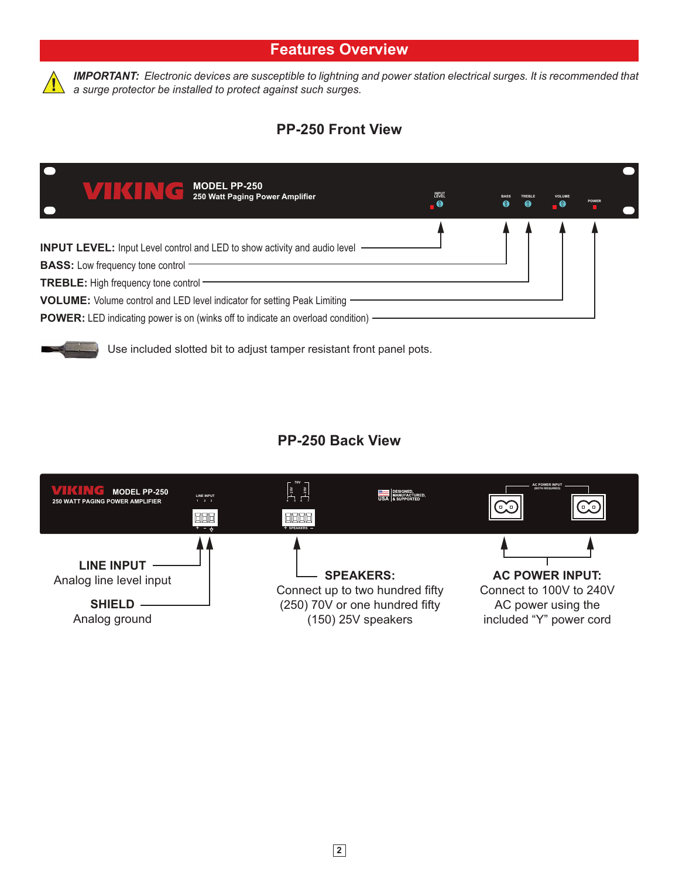

*IMPORTANT: Electronic devices are susceptible to lightning and power station electrical surges. It is recommended that a surge protector be installed to protect against such surges.* 

### **PP-250 Front View**

| $\blacksquare$<br><b>MODEL PP-250</b>                                                    |                              |   |  |       |  |
|------------------------------------------------------------------------------------------|------------------------------|---|--|-------|--|
| 250 Watt Paging Power Amplifier<br>le                                                    | <b>INPUT</b><br>LEVEL<br>. 0 | ⋒ |  | POWER |  |
|                                                                                          |                              |   |  |       |  |
| <b>INPUT LEVEL:</b> Input Level control and LED to show activity and audio level -       |                              |   |  |       |  |
| <b>BASS:</b> Low frequency tone control -                                                |                              |   |  |       |  |
| <b>TREBLE:</b> High frequency tone control                                               |                              |   |  |       |  |
| VOLUME: Volume control and LED level indicator for setting Peak Limiting -               |                              |   |  |       |  |
| <b>POWER:</b> LED indicating power is on (winks off to indicate an overload condition) - |                              |   |  |       |  |

Use included slotted bit to adjust tamper resistant front panel pots.

## **PP-250 Back View**

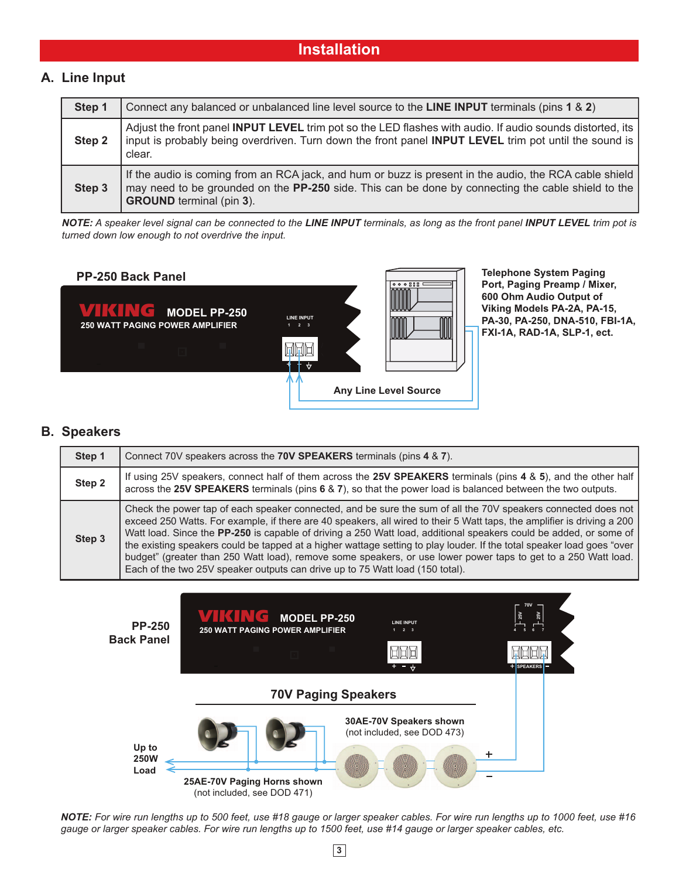#### **A. Line Input**

| Step 1 | Connect any balanced or unbalanced line level source to the LINE INPUT terminals (pins 1 & 2)                                                                                                                                                   |
|--------|-------------------------------------------------------------------------------------------------------------------------------------------------------------------------------------------------------------------------------------------------|
| Step 2 | Adjust the front panel INPUT LEVEL trim pot so the LED flashes with audio. If audio sounds distorted, its<br>input is probably being overdriven. Turn down the front panel INPUT LEVEL trim pot until the sound is<br>clear.                    |
| Step 3 | If the audio is coming from an RCA jack, and hum or buzz is present in the audio, the RCA cable shield<br>may need to be grounded on the PP-250 side. This can be done by connecting the cable shield to the<br><b>GROUND</b> terminal (pin 3). |

*NOTE: A speaker level signal can be connected to the LINE INPUT terminals, as long as the front panel INPUT LEVEL trim pot is turned down low enough to not overdrive the input.*

#### **PP-250 Back Panel Telephone System Paging**



#### **B. Speakers**

| Step 1 | Connect 70V speakers across the 70V SPEAKERS terminals (pins 4 & 7).                                                                                                                                                                                                                                                                                                                                                                                                                                                                                                                                                                                                                       |
|--------|--------------------------------------------------------------------------------------------------------------------------------------------------------------------------------------------------------------------------------------------------------------------------------------------------------------------------------------------------------------------------------------------------------------------------------------------------------------------------------------------------------------------------------------------------------------------------------------------------------------------------------------------------------------------------------------------|
| Step 2 | If using 25V speakers, connect half of them across the 25V SPEAKERS terminals (pins 4 & 5), and the other half<br>across the 25V SPEAKERS terminals (pins 6 & 7), so that the power load is balanced between the two outputs.                                                                                                                                                                                                                                                                                                                                                                                                                                                              |
| Step 3 | Check the power tap of each speaker connected, and be sure the sum of all the 70V speakers connected does not<br>exceed 250 Watts. For example, if there are 40 speakers, all wired to their 5 Watt taps, the amplifier is driving a 200<br>Watt load. Since the PP-250 is capable of driving a 250 Watt load, additional speakers could be added, or some of<br>the existing speakers could be tapped at a higher wattage setting to play louder. If the total speaker load goes "over<br>budget" (greater than 250 Watt load), remove some speakers, or use lower power taps to get to a 250 Watt load.<br>Each of the two 25V speaker outputs can drive up to 75 Watt load (150 total). |



*NOTE: For wire run lengths up to 500 feet, use #18 gauge or larger speaker cables. For wire run lengths up to 1000 feet, use #16 gauge or larger speaker cables. For wire run lengths up to 1500 feet, use #14 gauge or larger speaker cables, etc.*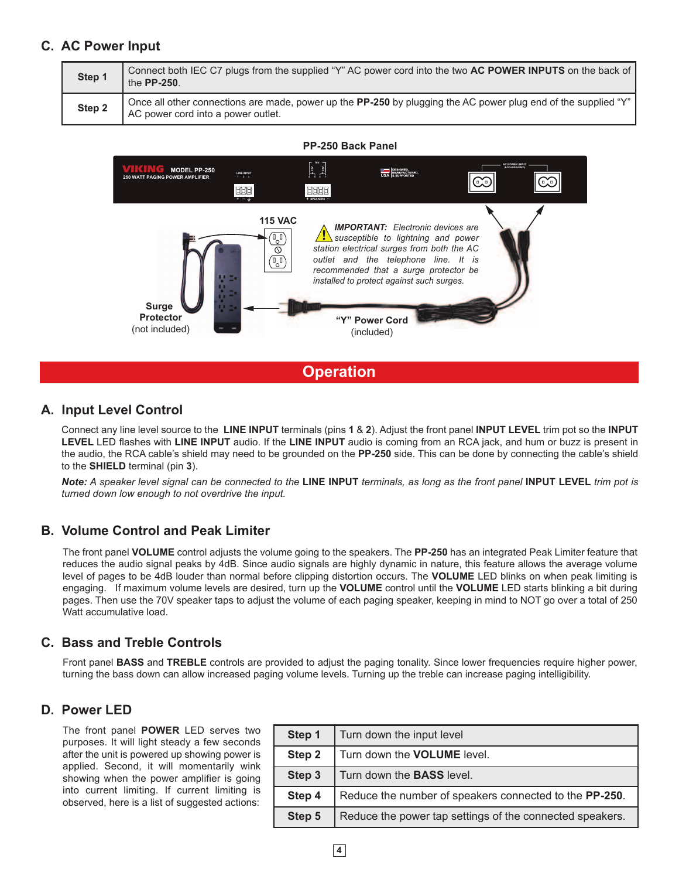#### **C. AC Power Input**

| Step 1 | Connect both IEC C7 plugs from the supplied "Y" AC power cord into the two AC POWER INPUTS on the back of<br>the $PP-250$ .                                 |
|--------|-------------------------------------------------------------------------------------------------------------------------------------------------------------|
| Step 2 | Once all other connections are made, power up the <b>PP-250</b> by plugging the AC power plug end of the supplied "Y"<br>AC power cord into a power outlet. |





**Operation**

#### **A. Input Level Control**

Connect any line level source to the **LINE INPUT** terminals (pins **1** & **2**). Adjust the front panel **INPUT LEVEL** trim pot so the **INPUT LEVEL** LED flashes with **LINE INPUT** audio. If the **LINE INPUT** audio is coming from an RCA jack, and hum or buzz is present in the audio, the RCA cable's shield may need to be grounded on the **PP-250** side. This can be done by connecting the cable's shield to the **SHIELD** terminal (pin **3**).

*Note: A speaker level signal can be connected to the* **LINE INPUT** *terminals, as long as the front panel* **INPUT LEVEL** *trim pot is turned down low enough to not overdrive the input.*

#### **B. Volume Control and Peak Limiter**

The front panel **VOLUME** control adjusts the volume going to the speakers. The **PP-250** has an integrated Peak Limiter feature that reduces the audio signal peaks by 4dB. Since audio signals are highly dynamic in nature, this feature allows the average volume level of pages to be 4dB louder than normal before clipping distortion occurs. The **VOLUME** LED blinks on when peak limiting is engaging. If maximum volume levels are desired, turn up the **VOLUME** control until the **VOLUME** LED starts blinking a bit during pages. Then use the 70V speaker taps to adjust the volume of each paging speaker, keeping in mind to NOT go over a total of 250 Watt accumulative load.

#### **C. Bass and Treble Controls**

Front panel **BASS** and **TREBLE** controls are provided to adjust the paging tonality. Since lower frequencies require higher power, turning the bass down can allow increased paging volume levels. Turning up the treble can increase paging intelligibility.

#### **D. Power LED**

The front panel **POWER** LED serves two purposes. It will light steady a few seconds after the unit is powered up showing power is applied. Second, it will momentarily wink showing when the power amplifier is going into current limiting. If current limiting is observed, here is a list of suggested actions:

| Step 1 | Turn down the input level                                |
|--------|----------------------------------------------------------|
| Step 2 | Turn down the <b>VOLUME</b> level.                       |
| Step 3 | Turn down the <b>BASS</b> level.                         |
| Step 4 | Reduce the number of speakers connected to the PP-250.   |
| Step 5 | Reduce the power tap settings of the connected speakers. |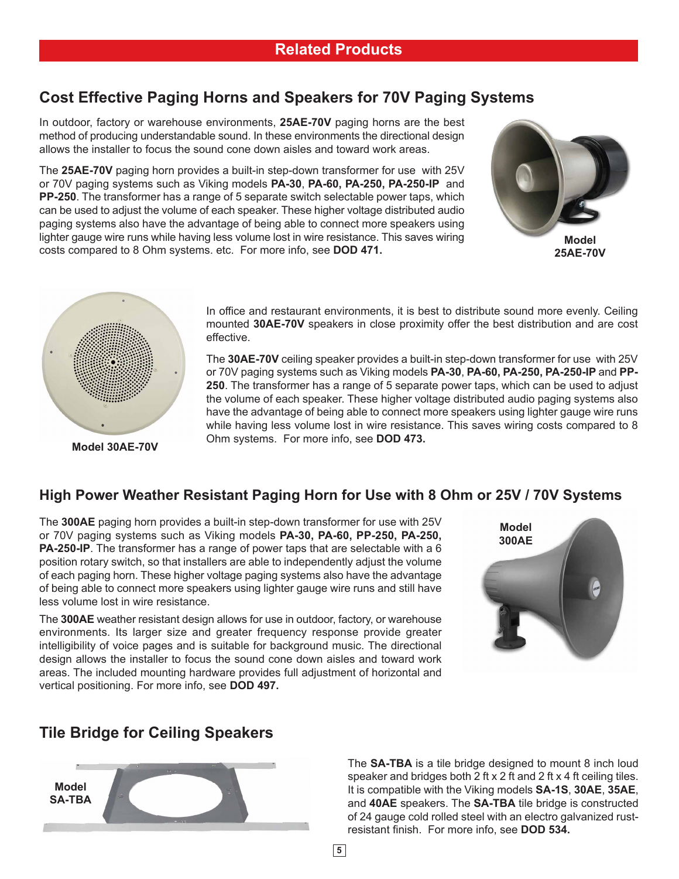### **Cost Effective Paging Horns and Speakers for 70V Paging Systems**

In outdoor, factory or warehouse environments, **25AE-70V** paging horns are the best method of producing understandable sound. In these environments the directional design allows the installer to focus the sound cone down aisles and toward work areas.

The **25AE-70V** paging horn provides a built-in step-down transformer for use with 25V or 70V paging systems such as Viking models **PA-30**, **PA-60, PA-250, PA-250-IP** and **PP-250**. The transformer has a range of 5 separate switch selectable power taps, which can be used to adjust the volume of each speaker. These higher voltage distributed audio paging systems also have the advantage of being able to connect more speakers using lighter gauge wire runs while having less volume lost in wire resistance. This saves wiring costs compared to 8 Ohm systems. etc. For more info, see **DOD 471.**





**Model 30AE-70V**

In office and restaurant environments, it is best to distribute sound more evenly. Ceiling mounted **30AE-70V** speakers in close proximity offer the best distribution and are cost effective.

The **30AE-70V** ceiling speaker provides a built-in step-down transformer for use with 25V or 70V paging systems such as Viking models **PA-30**, **PA-60, PA-250, PA-250-IP** and **PP-250**. The transformer has a range of 5 separate power taps, which can be used to adjust the volume of each speaker. These higher voltage distributed audio paging systems also have the advantage of being able to connect more speakers using lighter gauge wire runs while having less volume lost in wire resistance. This saves wiring costs compared to 8 Ohm systems. For more info, see **DOD 473.**

#### **High Power Weather Resistant Paging Horn for Use with 8 Ohm or 25V / 70V Systems**

The **300AE** paging horn provides a built-in step-down transformer for use with 25V or 70V paging systems such as Viking models **PA-30, PA-60, PP-250, PA-250, PA-250-IP**. The transformer has a range of power taps that are selectable with a 6 position rotary switch, so that installers are able to independently adjust the volume of each paging horn. These higher voltage paging systems also have the advantage of being able to connect more speakers using lighter gauge wire runs and still have less volume lost in wire resistance.

The **300AE** weather resistant design allows for use in outdoor, factory, or warehouse environments. Its larger size and greater frequency response provide greater intelligibility of voice pages and is suitable for background music. The directional design allows the installer to focus the sound cone down aisles and toward work areas. The included mounting hardware provides full adjustment of horizontal and vertical positioning. For more info, see **DOD 497.**



#### **Tile Bridge for Ceiling Speakers**



The **SA-TBA** is a tile bridge designed to mount 8 inch loud speaker and bridges both 2 ft x 2 ft and 2 ft x 4 ft ceiling tiles. It is compatible with the Viking models **SA-1S**, **30AE**, **35AE**, and **40AE** speakers. The **SA-TBA** tile bridge is constructed of 24 gauge cold rolled steel with an electro galvanized rustresistant finish. For more info, see **DOD 534.**

**5**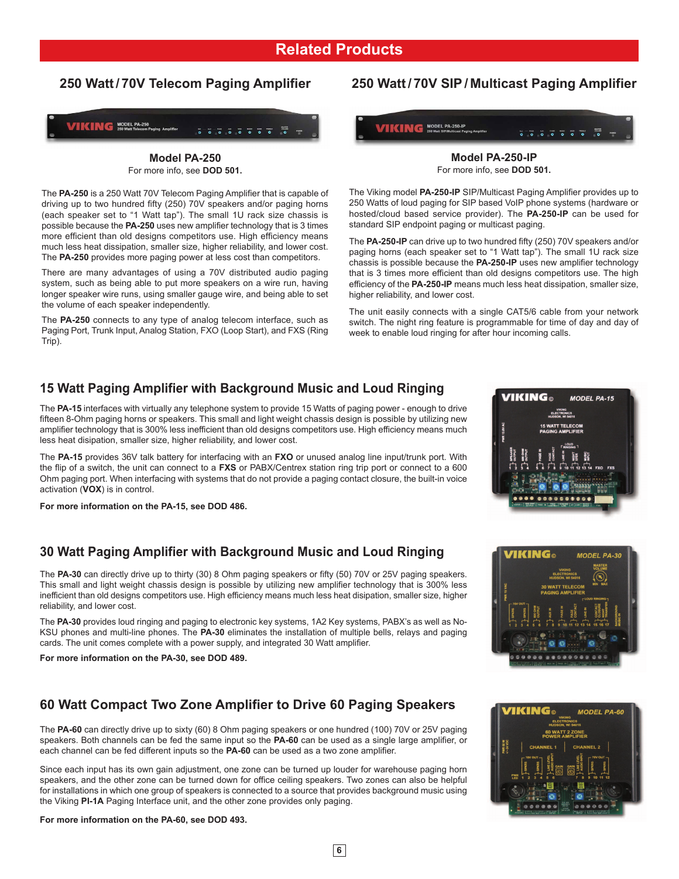#### **Related Products**

#### **250 Watt / 70V Telecom Paging Amplifier**



**Model PA-250** For more info, see **DOD 501.**

The **PA-250** is a 250 Watt 70V Telecom Paging Amplifier that is capable of driving up to two hundred fifty (250) 70V speakers and/or paging horns (each speaker set to "1 Watt tap"). The small 1U rack size chassis is possible because the **PA-250** uses new amplifier technology that is 3 times more efficient than old designs competitors use. High efficiency means much less heat dissipation, smaller size, higher reliability, and lower cost. The **PA-250** provides more paging power at less cost than competitors.

There are many advantages of using a 70V distributed audio paging system, such as being able to put more speakers on a wire run, having longer speaker wire runs, using smaller gauge wire, and being able to set the volume of each speaker independently.

The **PA-250** connects to any type of analog telecom interface, such as Paging Port, Trunk Input, Analog Station, FXO (Loop Start), and FXS (Ring Trip).

#### **250 Watt / 70V SIP / Multicast Paging Amplifier**



**Model PA-250-IP** For more info, see **DOD 501.**

The Viking model **PA-250-IP** SIP/Multicast Paging Amplifier provides up to 250 Watts of loud paging for SIP based VoIP phone systems (hardware or hosted/cloud based service provider). The **PA-250-IP** can be used for standard SIP endpoint paging or multicast paging.

The **PA-250-IP** can drive up to two hundred fifty (250) 70V speakers and/or paging horns (each speaker set to "1 Watt tap"). The small 1U rack size chassis is possible because the **PA-250-IP** uses new amplifier technology that is 3 times more efficient than old designs competitors use. The high efficiency of the **PA-250-IP** means much less heat dissipation, smaller size, higher reliability, and lower cost.

The unit easily connects with a single CAT5/6 cable from your network switch. The night ring feature is programmable for time of day and day of week to enable loud ringing for after hour incoming calls.

#### **15 Watt Paging Amplifier with Background Music and Loud Ringing**

The **PA-15** interfaces with virtually any telephone system to provide 15 Watts of paging power - enough to drive fifteen 8-Ohm paging horns or speakers. This small and light weight chassis design is possible by utilizing new amplifier technology that is 300% less inefficient than old designs competitors use. High efficiency means much less heat disipation, smaller size, higher reliability, and lower cost.

The **PA-15** provides 36V talk battery for interfacing with an **FXO** or unused analog line input/trunk port. With the flip of a switch, the unit can connect to a **FXS** or PABX/Centrex station ring trip port or connect to a 600 Ohm paging port. When interfacing with systems that do not provide a paging contact closure, the built-in voice activation (**VOX**) is in control.

**For more information on the PA-15, see DOD 486.**

#### **30 Watt Paging Amplifier with Background Music and Loud Ringing**

The **PA-30** can directly drive up to thirty (30) 8 Ohm paging speakers or fifty (50) 70V or 25V paging speakers. This small and light weight chassis design is possible by utilizing new amplifier technology that is 300% less inefficient than old designs competitors use. High efficiency means much less heat disipation, smaller size, higher reliability, and lower cost.

The **PA-30** provides loud ringing and paging to electronic key systems, 1A2 Key systems, PABX's as well as No-KSU phones and multi-line phones. The **PA-30** eliminates the installation of multiple bells, relays and paging cards. The unit comes complete with a power supply, and integrated 30 Watt amplifier.

**For more information on the PA-30, see DOD 489.**

#### **60 Watt Compact Two Zone Amplifier to Drive 60 Paging Speakers**

The **PA-60** can directly drive up to sixty (60) 8 Ohm paging speakers or one hundred (100) 70V or 25V paging speakers. Both channels can be fed the same input so the **PA-60** can be used as a single large amplifier, or each channel can be fed different inputs so the **PA-60** can be used as a two zone amplifier.

Since each input has its own gain adjustment, one zone can be turned up louder for warehouse paging horn speakers, and the other zone can be turned down for office ceiling speakers. Two zones can also be helpful for installations in which one group of speakers is connected to a source that provides background music using the Viking **PI-1A** Paging Interface unit, and the other zone provides only paging.

#### **For more information on the PA-60, see DOD 493.**